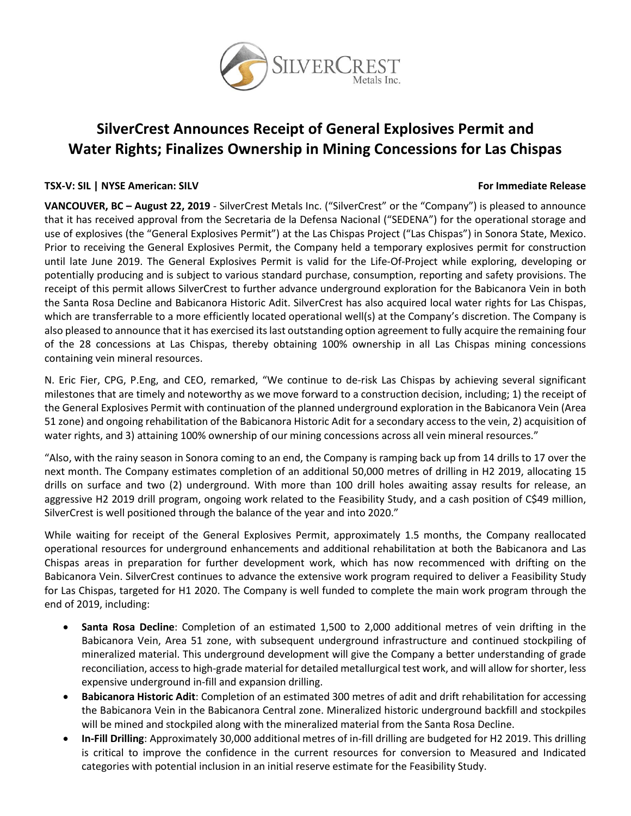

# **SilverCrest Announces Receipt of General Explosives Permit and Water Rights; Finalizes Ownership in Mining Concessions for Las Chispas**

# **TSX-V: SIL | NYSE American: SILV For Immediate Release**

**VANCOUVER, BC – August 22, 2019** - SilverCrest Metals Inc. ("SilverCrest" or the "Company") is pleased to announce that it has received approval from the Secretaria de la Defensa Nacional ("SEDENA") for the operational storage and use of explosives (the "General Explosives Permit") at the Las Chispas Project ("Las Chispas") in Sonora State, Mexico. Prior to receiving the General Explosives Permit, the Company held a temporary explosives permit for construction until late June 2019. The General Explosives Permit is valid for the Life-Of-Project while exploring, developing or potentially producing and is subject to various standard purchase, consumption, reporting and safety provisions. The receipt of this permit allows SilverCrest to further advance underground exploration for the Babicanora Vein in both the Santa Rosa Decline and Babicanora Historic Adit. SilverCrest has also acquired local water rights for Las Chispas, which are transferrable to a more efficiently located operational well(s) at the Company's discretion. The Company is also pleased to announce that it has exercised its last outstanding option agreement to fully acquire the remaining four of the 28 concessions at Las Chispas, thereby obtaining 100% ownership in all Las Chispas mining concessions containing vein mineral resources.

N. Eric Fier, CPG, P.Eng, and CEO, remarked, "We continue to de-risk Las Chispas by achieving several significant milestones that are timely and noteworthy as we move forward to a construction decision, including; 1) the receipt of the General Explosives Permit with continuation of the planned underground exploration in the Babicanora Vein (Area 51 zone) and ongoing rehabilitation of the Babicanora Historic Adit for a secondary access to the vein, 2) acquisition of water rights, and 3) attaining 100% ownership of our mining concessions across all vein mineral resources."

"Also, with the rainy season in Sonora coming to an end, the Company is ramping back up from 14 drills to 17 over the next month. The Company estimates completion of an additional 50,000 metres of drilling in H2 2019, allocating 15 drills on surface and two (2) underground. With more than 100 drill holes awaiting assay results for release, an aggressive H2 2019 drill program, ongoing work related to the Feasibility Study, and a cash position of C\$49 million, SilverCrest is well positioned through the balance of the year and into 2020."

While waiting for receipt of the General Explosives Permit, approximately 1.5 months, the Company reallocated operational resources for underground enhancements and additional rehabilitation at both the Babicanora and Las Chispas areas in preparation for further development work, which has now recommenced with drifting on the Babicanora Vein. SilverCrest continues to advance the extensive work program required to deliver a Feasibility Study for Las Chispas, targeted for H1 2020. The Company is well funded to complete the main work program through the end of 2019, including:

- **Santa Rosa Decline**: Completion of an estimated 1,500 to 2,000 additional metres of vein drifting in the Babicanora Vein, Area 51 zone, with subsequent underground infrastructure and continued stockpiling of mineralized material. This underground development will give the Company a better understanding of grade reconciliation, access to high-grade material for detailed metallurgical test work, and will allow for shorter, less expensive underground in-fill and expansion drilling.
- **Babicanora Historic Adit**: Completion of an estimated 300 metres of adit and drift rehabilitation for accessing the Babicanora Vein in the Babicanora Central zone. Mineralized historic underground backfill and stockpiles will be mined and stockpiled along with the mineralized material from the Santa Rosa Decline.
- **In-Fill Drilling**: Approximately 30,000 additional metres of in-fill drilling are budgeted for H2 2019. This drilling is critical to improve the confidence in the current resources for conversion to Measured and Indicated categories with potential inclusion in an initial reserve estimate for the Feasibility Study.